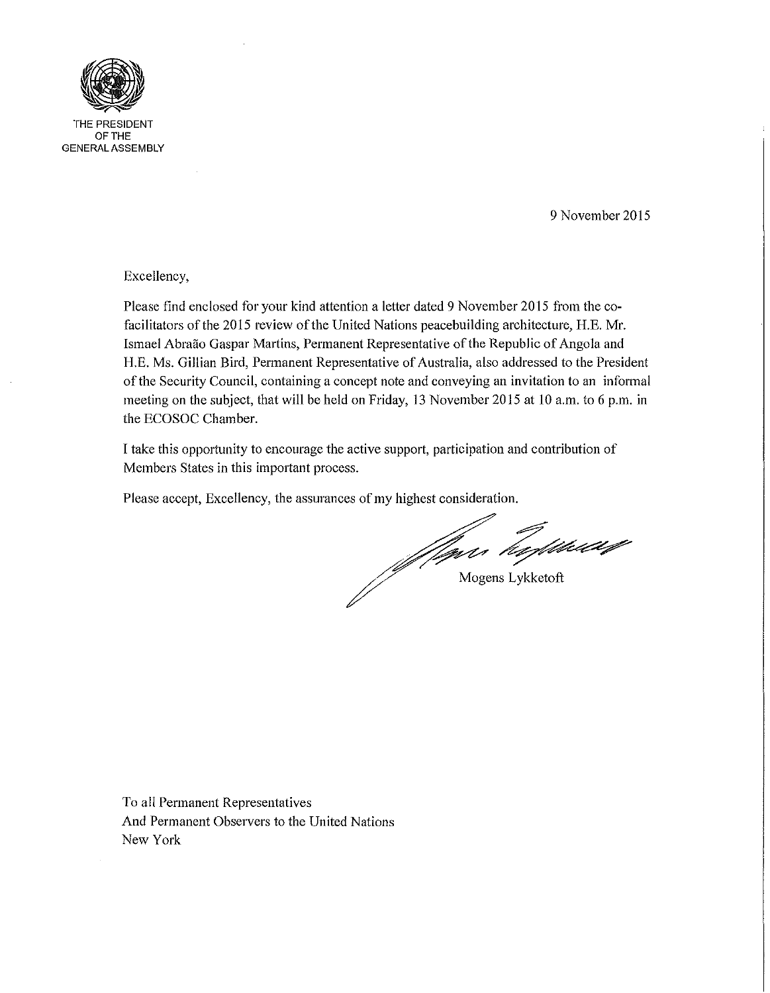

THE PRESIDENT OFTHE GENERAL ASSEMBLY

9 November 2015

Excellency,

Please find enclosed for your kind attention a letter dated 9 November 2015 from the cofacilitators of the 2015 review of the United Nations peacebuilding architecture, H.E. Mr. Ismael Abraao Gaspar Martins, Permanent Representative of the Republic of Angola and RE. Ms. Gillian Bird, Permanent Representative of Australia, also addressed to the President of the Security Council, containing a concept note and conveying an invitation to an informal meeting on the subject, that will be held on Friday, 13 November 2015 at 10 a.m. to 6 p.m. in the ECOSOC Chamber.

I take this opportunity to encourage the active support, participation and contribution of Members States in this important process.

Please accept, Excellency, the assurances of my highest consideration.

Jan hykket

To all Permanent Representatives And Permanent Observers to the United Nations New York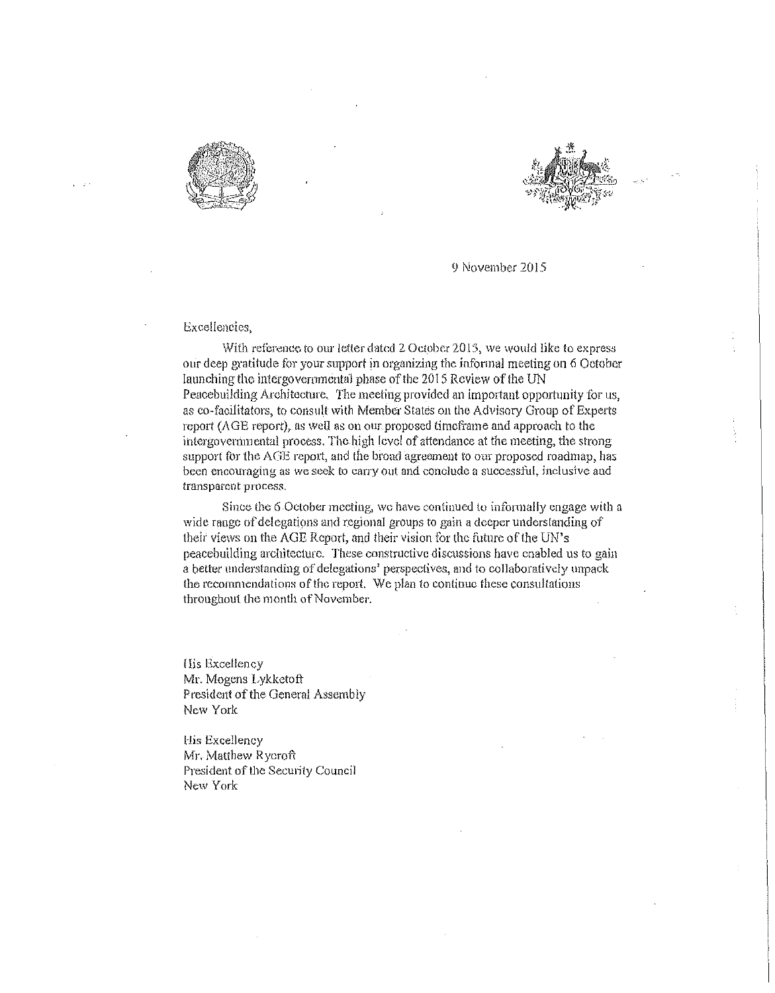



-**-.-**

9 November 2015

## Excellencies,

With reference to our letter dated 2 October 2015, we would like to express our deep gratitude for your support in organizing the informal meeting on 6 October launching the intergovernmental phase of the 2015 Review of the UN Peacebuilding Architecture. The meeting provided an important opportunity for us, as co-facilitators, to consult with Member States on the Advisory Group of Experts  $r$ eport ( $\triangle$ GE report), as well as on our proposed time frame and approach to the intergovemmental process. The high level of attendance at the meeting, the strong support for the AGE report, and the broad agreement to our proposed roadmap, has **been encouraging as We seek to carry out and conclude a successful, inclusive and transparent process,** 

Since the 6 October meeting, we have continued to informally engage with a wide range of delegations and regional groups to gain a deeper understanding of their views on the AGE Report, and their vision lor the future of the UN's peacebuilding architecture. These constructive discussions have enabled us to gain a better understanding of delegations' perspectives, and to collaboratively unpack the recommendations of the report. We plan to continue these consultations throughout the month of November.

**His Excellency** Mr. Mogens Lykketoft President of the General Assembly New York

His Excellency Mr. Matthew Rycroft President of the Security Council New York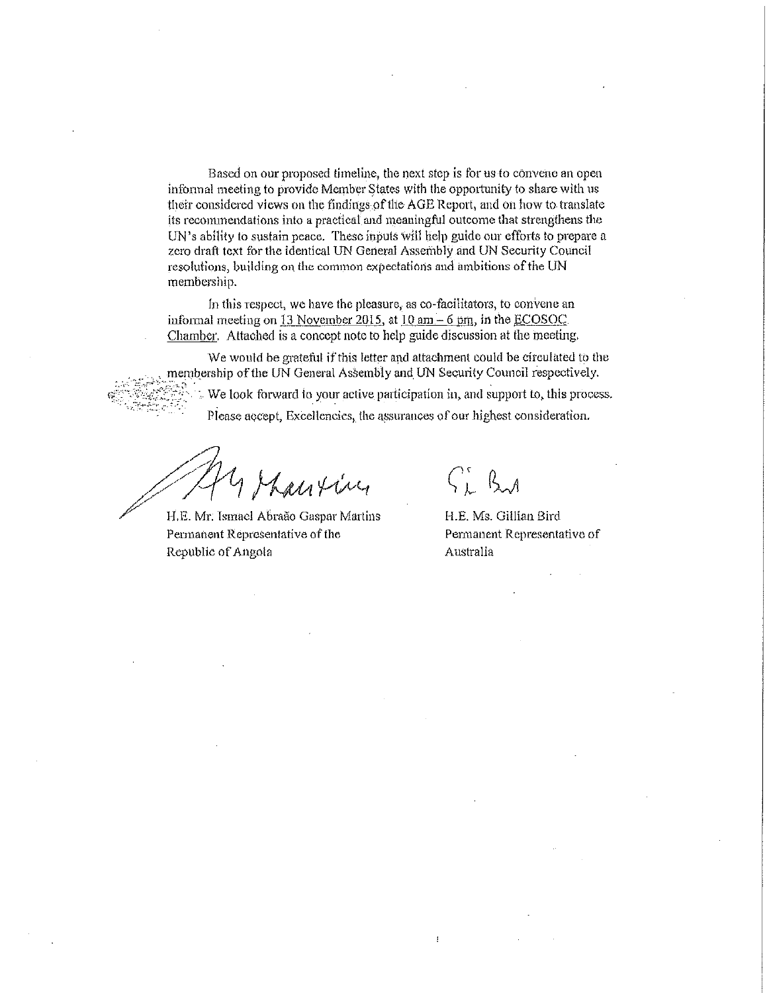Based on our proposed timeline, the next step is for us to convene an open informal meeting to provide Member States with the opportunity to share with us their considered views on the findings pfthe AGE Report, and On how to translate its reconunendations into a practical and meaningful outcome that strengthens the UN's ability to sustain peace. These inputs will help guide our efforts to prepare a zero draft text for the identical UN General Assembly and UN Security Council resolutions, building on the common expectations and ambitions of the UN membership.

In this respect, we have the pleasure, as co-facilitators, to convene an informal meeting on 13 November 2015, at  $10 \text{ nm} - 6 \text{ pm}$ , in the ECOSOC Chamber, Attached is a concept note to help guide discussion at the meeting,

We would be grateful if this letter and attachment could be circulated to the membership of the UN General Assembly and UN Security Counoil respectively. We look forward to your active participation in, and support to, this process. Please accept, Excellencies, the assurances of our highest consideration.

~:;/; *A*   $\mathcal{M}$  /  $\mathcal{M}$  /  $\mathcal{M}$  /  $\mathcal{M}$ 

**Pennanent Representative of the**  Republic of Angola

 $C_L$  By

 $\mathbf{I}$ 

H.E, Ms. Gillian Bird **Pen'nanent Representative of**  Australia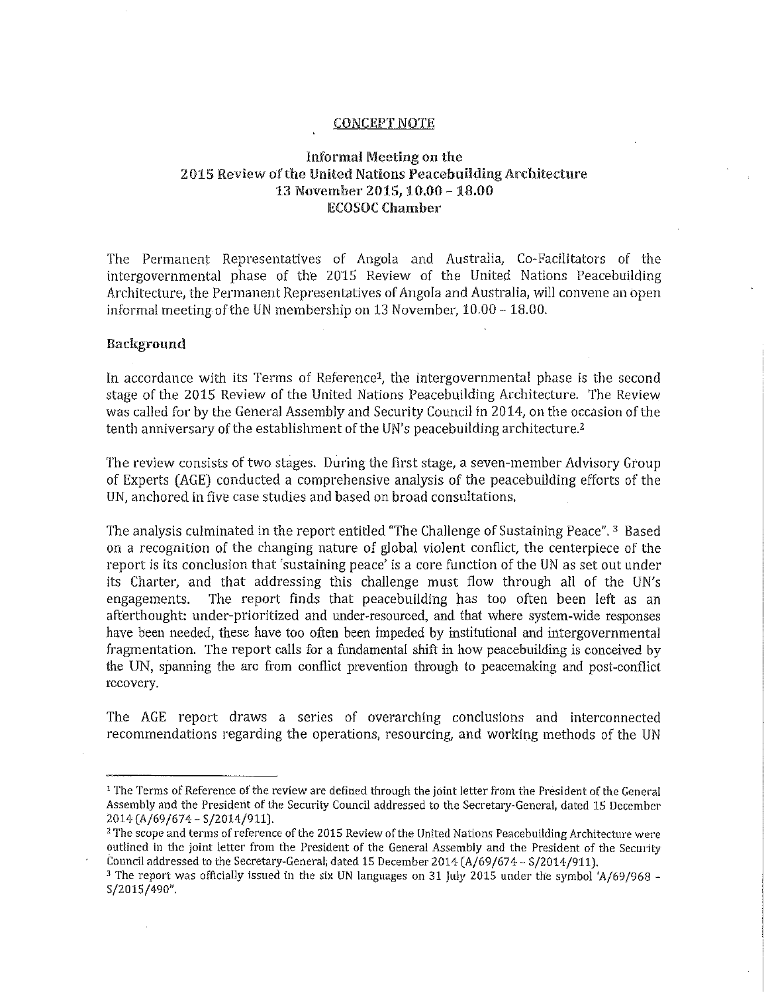### CONCEPT NOTE

## Informal Meeting on the 2015 Review of the United Nations Peacebuilding Architecture 13 November 2015, 10.00 -18.00 IECOSOC Chamber

The Permanent Representatives of Angola and Australia, Co-Facilitators of the intergovernmental phase of the 2015 Review of the United Nations Peacebuilding Architecture, the Permanent Representatives of Angola and Australia, will convene an open informal meeting of the UN membership on  $13$  November,  $10.00 - 18.00$ .

## Background

In accordance with its Terms of Reference<sup>1</sup>, the intergovernmental phase is the second stage of the 2015 Review of the United Nations Peacebuilding Architecture. The Review was called for by the General Assembly and Security Council in 2014, on the occasion of the tenth anniversary of the establishment of the UN's peacebuilding architecture.<sup>2</sup>

The review consists of two stages. During the first stage, a seven-member Advisory Group of Experts (AGE) conducted a comprehensive analysis of the peacebuilding efforts of the UN, anchored in five case studies and based on broad consultations,

The analysis culminated in the report entitled "The Challenge of Sustaining Peace". <sup>3</sup> Based on a recognition of the changing nature of global violent conflict, the centerpiece of the report is its conclusion that 'sustaining peace' is a core function of the UN as set out under its Charter, and that addressing this challenge must flow through all of the UN's engagements. The report finds that peacebuilding has too often been left as an afterthought: under-prioritized and under-resourced, and that where system-wide responses have been needed, these have too often been impeded by institutional and intergovernmental fragmentation. The report calls for a fundamental shift in how peacebuilding is conceived by the UN, spanning the arc from conflict prevention through to peacemaking and post-conflict recovery.

The AGE report draws a series of overarching conclusions and interconnected recommendations regarding the operations, resourcing, and working methods of the UN

<sup>&</sup>lt;sup>1</sup> The Terms of Reference of the review are defined through the joint letter from the President of the General Assembly and the President of the Security Council addressed to the Secretary-General, dated 15 December 2014 (A/69/674 - S/2014/911).

<sup>&</sup>lt;sup>2</sup> The scope and terms of reference of the 2015 Review of the United Nations Peacebuilding Architecture were outlined in the joint letter from the President of the General Assembly and the President of the Security Council addressed to the Secretary-General; dated 15 December 2014 (A/69/674 - 5/2014/911).

<sup>&</sup>lt;sup>3</sup> The report was officially issued in the six UN languages on 31 July 2015 under the symbol 'A/69/968 -5/2015/490".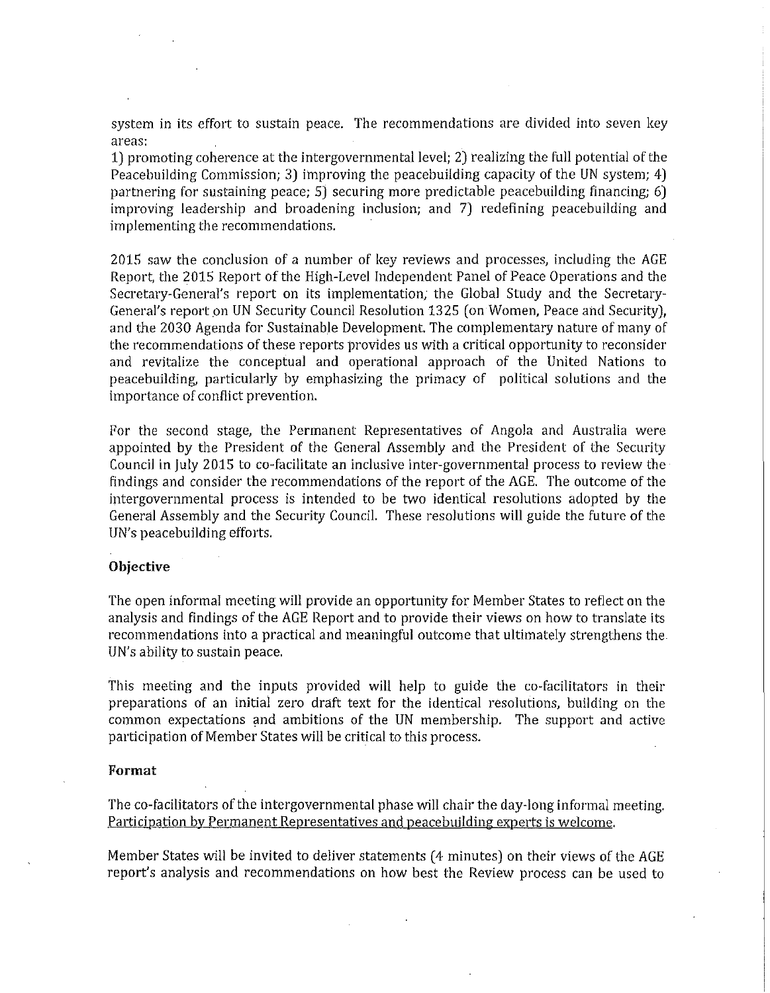system in its effort to sustain peace. The recommendations are divided into seven key areas:

1) promoting coherence at the intergovernmental level; 2) realizing the full potential of the Peacebuilding Commission; 3) improving the peacebuilding capacity of the UN system; 4) partnering for sustaining peace; 5) securing more predictable peacebuilding financing; 6) improving leadership and broadening inclusion; and 7) redefining peacebuilding and implementing the recommendations.

2015 saw the conclusion of a number of key reviews and processes, including the AGE Report, the 2015 Report of the High-Level Independent Panel of Peace Operations and the Secretary-General's report on its implementation; the Global Study and the Secretary-General's report on UN Security Council Resolution 1325 (on Women, Peace and Security), and the 2030 Agenda for Sustainable Development. The complementary nature of many of the recommendations of these reports provides us with a critical opportunity to reconsider and revitalize the conceptual and operational approach of the United Nations to peacebuilding, particularly by emphasizing the primacy of political solutions and the importance of conflict prevention.

For the second stage, the Permanent Representatives of Angola and Australia were appointed by the President of the General Assembly and the President of the Security Council in July 2015 to co-facilitate an inclusive inter-governmental process to review the findings and consider the recommendations of the report of the AGE. The outcome of the intergovernmental process is intended to be two identical resolutions adopted by the General Assembly and the Security Council. These resolutions will guide the future of the UN's peacebuilding efforts.

### Objective

The open informal meeting will provide an opportunity for Member States to reflect on the analysis and findings of the AGE Report and to provide their views on how to translate its recommendations into a practical and meaningful outcome that ultimately strengthens the UN's ability to sustain peace.

This meeting and the inputs provided will help to guide the co-facilitators in their preparations of an initial zero draft text for the identical resolutions, building on the common expectations and ambitions of the UN membership. The support and active participation of Member States will be critical to this process.

### Format

The co-facilitators of the intergovernmental phase will chair the day-long informal meeting. Participation by Permanent Representatives and peacebuilding experts is welcome.

Member States will be invited to deliver statements (4 minutes) on their views of the AGE report's analysis and recommendations on how best the Review process can be used to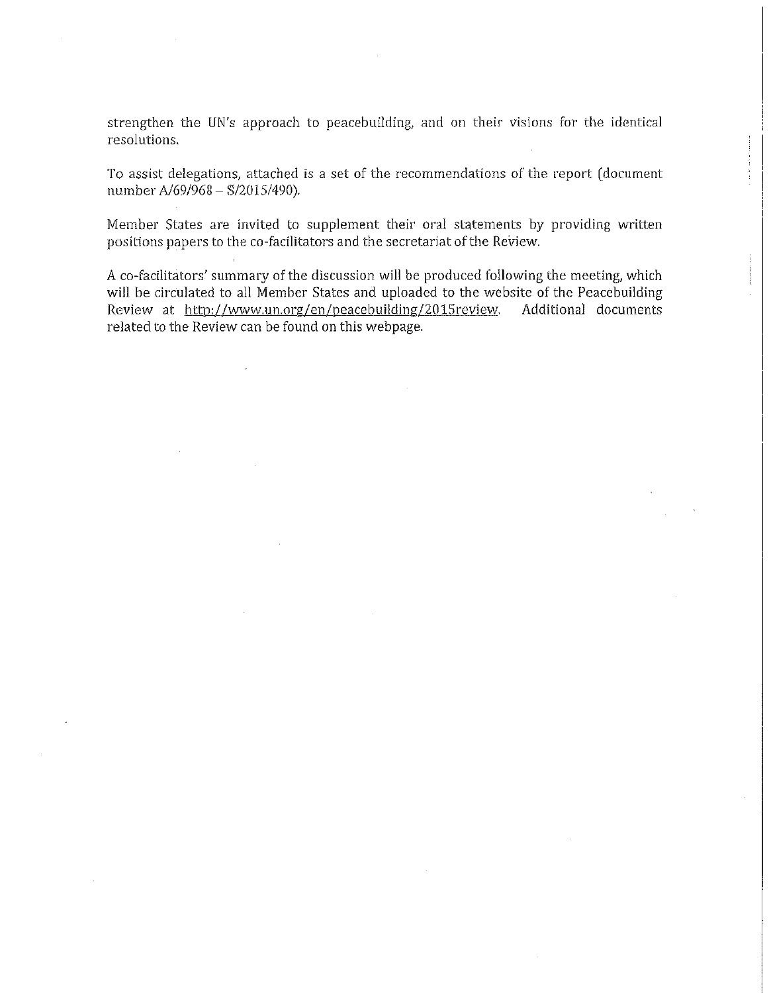strengthen the UN's approach to peacebuilding, and on their visions for the identical resolutions.

To assist delegations, attached is a set of the recommendations of the report (document number *AJ69/968* - *8/2015/490).* 

Member States are invited to supplement their oral statements by providing written positions papers to the co-facilitators and the secretariat of the Review.

A co-facilitators' summary of the discussion will be produced following the meeting, which will be circulated to all Member States and uploaded to the website of the Peacebuilding<br>Review at http://www.un.org/en/peacebuilding/2015review. Additional documents Review at http://www.un.org/en/peacebuilding/2015review. related to the Review can be found on this webpage.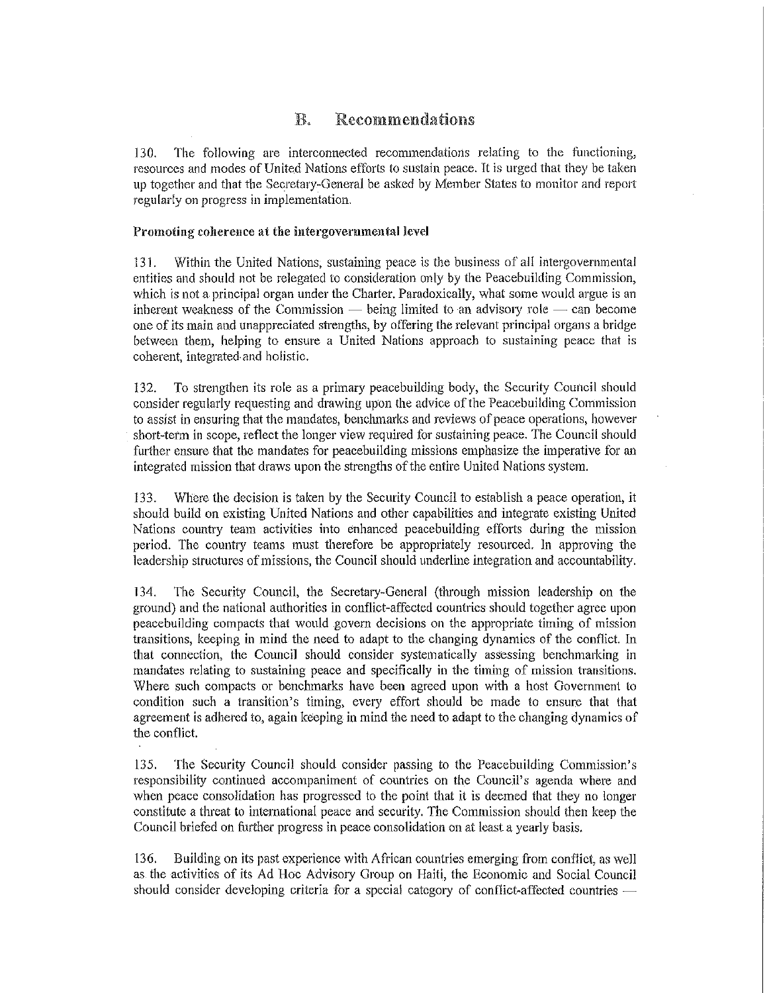# **E.** Recommendations

130. The following are interconnected recommendations relating to the functioning, resources and modes of United Nations efforts to sustain peace. It is urged that they be taken up together and that the Secretary-General be asked by Member States to monitor and repolt regularly on progress in implementation.

## Promoting coherence at the intergovernmental level

131. Within the United Nations, sustaining peace is the business of all intergovernmental entities and should not be relegated to consideration only by the Peacebuilding Commission, which is not a principal organ under the Charter. Paradoxically, what some would argue is an inherent weakness of the Commission  $-$  being limited to an advisory role  $-$  can become one of its main and unappreciated strengths, by offering the relevant principal organs a bridge between them, helping to ensure a United Nations approach to sustaining peace that is coherent, integrated· and holistic.

132. To strengthen its role as a primary peacebuilding body, the Security Council should consider regularly requesting and drawing upon the advice of the Peacebuilding Commission to assist in ensuring that the mandates, benchmarks and reviews of peace operations, however short-term in scope, reflect the longer view required for sustaining peace. The Council should further ensure that the mandates for peacebuilding missions emphasize the imperative for an integrated mission that draws upon the strengtbs of the entire United Nations system.

133. Where the decision is taken by the Security Council to establish a peacc operation, it should build on existing United Nations and other capabilities and integrate existing United Nations country team activities into enhanced peacebnilding efforts during the mission period. The country teams must therefore be appropriately resourced. In approving the leadership structures of missions, the Council should underline integration and accountability.

134. The Security Council, the Secretary-General (througb mission leadership on the ground) and the national authorities in conflict-affected countries should together agree upon peacebuilding compacts tbat would govern decisions on the appropriate timing of mission transitions, keeping in mind the need to adapt to the changing dynamics of the conflict. In that connection, the Council should consider systematically assessing benchmarking in mandates relating to sustaining peace and specifically in the timing of mission transitions. Where such compacts or benchmarks have been agreed upon with a host Government to condition such a transition's timing, every effort should be made to ensure that that agreement is adhered to, again keeping in mind the need to adapt to the changing dynamics of the conflict.

135. The Security Council should consider passing to the Peacebuilding Commission's responsibility continued accompaniment of countries on the Council's agenda where and when peace consolidation has progressed to the point that it is deemed that they no longer constitute a threat to international peace and security. The Commission should tben keep the Council briefed on further progress in peace consolidation on at least a yearly basis.

136. Building on its past experience with African countries emerging from conflict, as well as the activities of its Ad Hoc Advisory Group on Haiti, the Economic and Social Council should consider developing criteria for a special category of conflict-affected countries -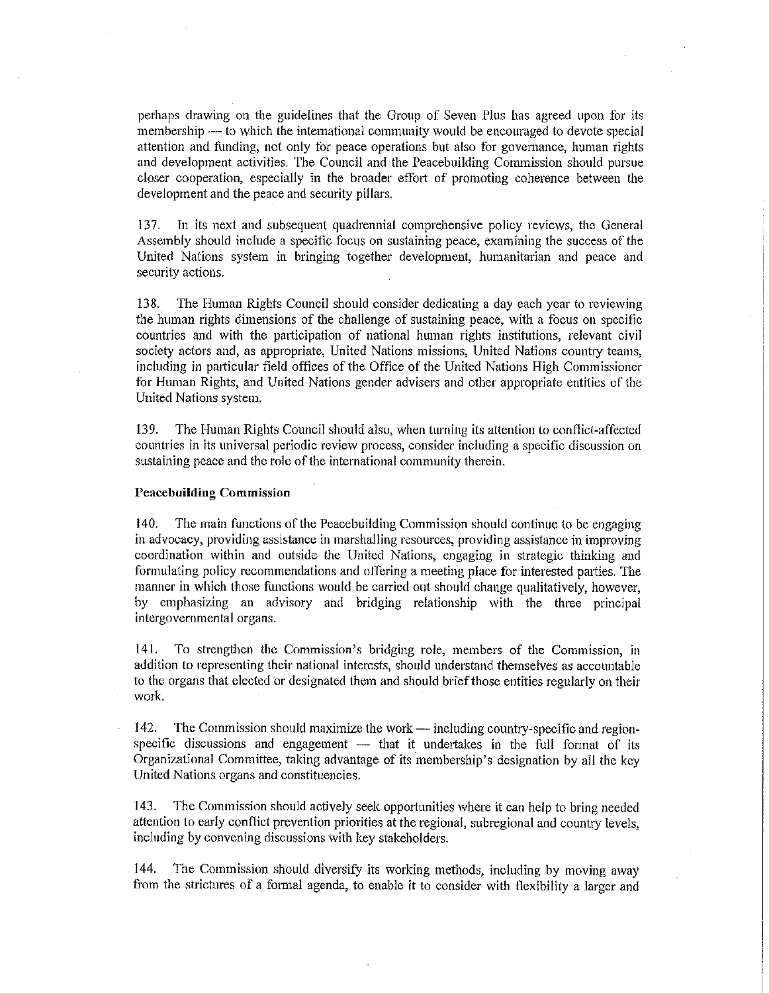perhaps drawing on the guidelines that the Group of Seven Plus has agreed upon for its membership - to which the international community would be encouraged to devote special attention and funding, not only tor peace operations but also for govemance, human rights and development activities, The Council and the Peacebuilding Commission should pursue closer cooperation, especially in the broader effort of promoting coherence between the development and the peace and security pillars,

137, Tn its next and subsequent quadrennial comprehensive policy revicws, thc Gcncral Assembly should include a specific focus on sustaining peace, examining the success of the United Nations system in bringing together development, humanitarian and peace and security actions,

138. The Human Rights Council should consider dedicating a day each year to reviewing the human rights dimensions of the challenge of sustaining peace, with a focus on specific countries and with the participation of national human rights institutions, relevant civil society actors and, as appropriate, United Nations missions, United Nations country teams, including in particular field offices of the Office of the United Nations High Commissioner for Human Rights, and United Nations gender advisers and other appropriate entities of the United Nations system.

139. The Human Rights Council should also, when turning its attention to conflict-affected countries in its universal periodic review process, consider including a specific discussion on sustaining peace and the role of the international community therein.

#### **Peacebuildiug Commission**

140. The main functions of the Peacebuilding Commission should continue to be engaging in advocacy, providing assistance in marshalling resources, providing assistance in improving coordination within and outside the United Nations, engaging in strategic thinking and formulating policy recommendations and offering a meeting place for interested parties. The manner in which those functions would be carried out should change qualitatively, however, by emphasizing an advisory and bridging relationship with the three principal intergovernmental organs.

141. To strengthen the Commission's bridging role, members of the Commission, in addition to representing their national interests, should understand themselves as accountable to the organs that elected or designated them and should brief those entities regularly on their work.

142. The Commission should maximize the work  $-$  including country-specific and regionspecific discussions and engagement  $-$  that it undertakes in the full format of its Organizational Committee, taking advantage of its membership's designation by all the kcy United Nations organs and constituencies.

143, The Commission should actively seek opportunities where it can help to bring needed attention to early conflict prevention priorities at the regional, subregional and country levels, including by convening discussions with key stakeholders.

144. The Commission should diversify its working methods, including by moving away from the strictures of a formal agenda, to enable it to consider with flexibility a larger and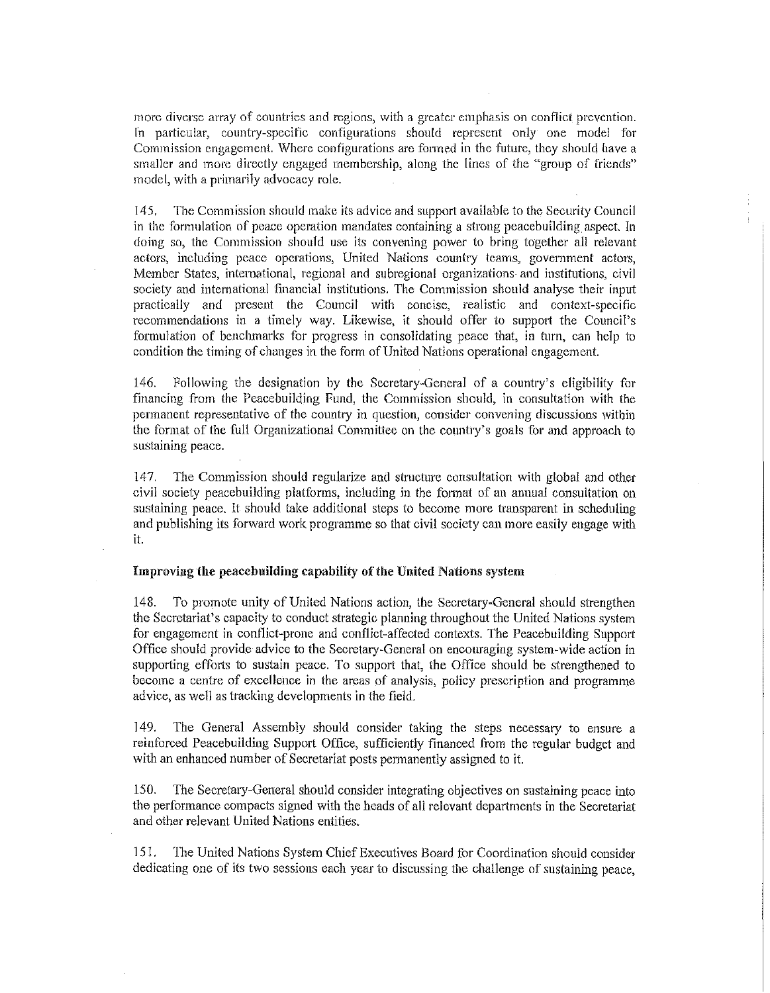more diverse array of countries and regions, with a greater emphasis on conflict prevention. In particular, country-specific configurations should represent only one model for Commission engagement. Where contlgurations are formed in the future, they should have a smaller and more directly engaged membership, along the lines of the "group of friends" model, with a primarily advocacy role.

145. The Commission should make its advice and support available to the Security Council in the formulation of peace operation mandates containing a strong peacebuilding aspect. In doing so, the Commission should use its convening power to bring together all relevant actors, including peace opcrations, United Nations country teams, government actors, Member States, intemational, regional and subregional organizations and institutions, civil society and international financial institutions. The Commission should analyse their input practically and present the Council with concise, realistic and context-specific recommendations in a timely way. Likewise, it should offer to support the Council's formulation of benchmarks for progress in consolidating peace that, in turn, can help to condition the timing of changes in the form of United Nations operational engagement.

146. Following the designation by the Secretary-General of a country's eligibility for financing from the Peacebuilding Fund, the Commission should, in consultation with the permanent representative of the country in question, consider convening discussions within the [onnat of the full Organizational Committee on the country's goals for and approach to sustaining peace.

147. The Commission should regularize and structure consultation with global and other civil society peacebuilding platforms, including in the format of an annual consultation on sustaining peace. It should take additional steps to become more transparent in scheduling and publishing its forward work programme so that civil society can more easily engage with it.

#### Improving the peacebuilding capability of the United Nations system

148. To promote unity of United Nations action, the Secretary-General should strengthen the Secretariat's capacity to conduct strategic planning throughout the United Nations system for engagement in conflict-prone and conflict-affected contexts. The Peaeebuilding Support Office should provide advice to the Secretary-General On encouraging system-wide action in supporting efforts to sustain peace. To support that, the Office should be strengthened to become a centre of excellence in the areas of analysis, policy prescription and programme advice, as well as tracking developments in the field.

149. The General Assembly should consider taking the steps necessary to ensure a reinforced Peacebuilding Support Office, sufficiently financed Irom the regular budget and with an enhanced number of Secretariat posts permanently assigned to it.

150. The Secretary-General should consider integrating objectives on sustaining peace into the performance compacts signed with the heads of all relevant departments in the Secretariat and other relevant United Nations entities.

151. The United Nations System Chief Executives Board for Coordination should consider dedicating one of its two sessions each year to discussing the challenge of sustaining peace,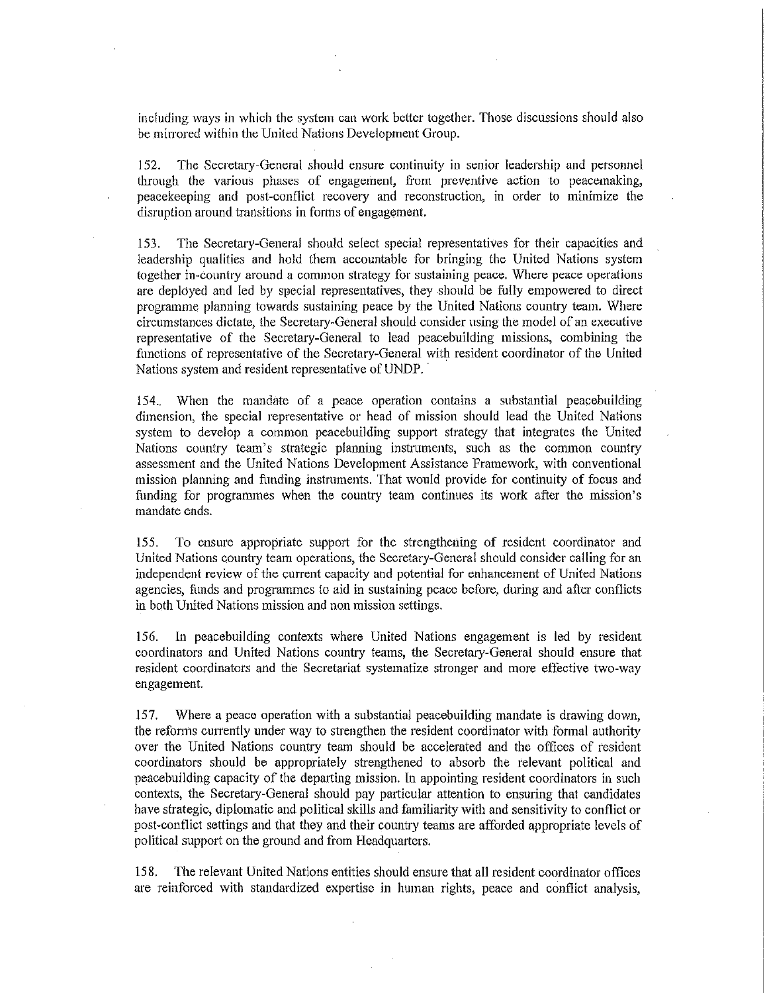including ways in which the system can work bcttcr together. Those discussions should also be mirrored within the United Nations Development Group.

152. The Secretary-General should ensure continuity in senior leadership and personnel through the various phases of engagement, from preventive action to peacemaking, peacekeeping and post-conflict recovery and reconstruction, in order to minimize the disruption around transitions in forms of engagement.

153. The Secretary-General should select special representatives for their capacities and leadership qualities and hold them accountable for bringing the United Nations system together in-country around a common strategy for sustaining peace. Where peace operations are deployed and led by special representatives, they should be fully empowered to direct programme planning towards sustaining peace by the United Nations country team. Where circumstances dictate, the Secretary-General should consider using the model of an executive representative of the Secretary-General to lead peacebuiJding missions, combining the functions of representative of the Secretary-General with resident coordinator of the United Nations system and resident representative of UNDP.

154.. When the mandate of a peace operation contains a substantial peacebuiJding dimension, the special representative or head of mission should lead the United Nations system to develop a common peacebuilding support strategy that integrates the United Nations country team's strategic planning instruments, such as the common country assessment and the United Nations Development Assistance Framework, with conventional mission planning and funding instruments. That would provide for continuity of focus and fimding for programmes when the country team continues its work after the mission's mandate ends.

155. To ensure appropriate support for the strengthening of resident coordinator and United Nations country team operations, the Secretary-General should consider calling for an independent review of the current capacity and potential for enhancement of United Nations agencies, funds and programmes to aid in sustaining peace before, during and after conflicts in both United Nations mission and non mission settings.

156. **In** peacebuilding contexts where United Nations engagement is led by resident coordinators and United Nations country teams, the Secretary-General should ensure that resident coordinators and the Secretariat systematize stronger and more effective two-way engagement.

157. Where a peace operation with a substantial peacebuilding mandate is drawing down, the reforms currently under way to strengthen the resident coordinator with fonnal authority over the United Nations country team should be accelerated and the offices of resident coordinators should be appropriately strengthened to absorb the relevant political and peacehuilding capacity of the departing mission. In appointing resident coordinators in such contexts, the Secretary-General should pay particular attention to ensuring that candidates have strategic, diplomatic and political skills and familiarity with and sensitivity to conflict or post-conflict settings and that they and their country teams are afforded appropriate levels of political support on the ground and from Headquarters.

158. The relevant United Nations entities should ensure that all resident coordinator offices are reinforced with standardized expertise in human rights, peace and conflict analysis,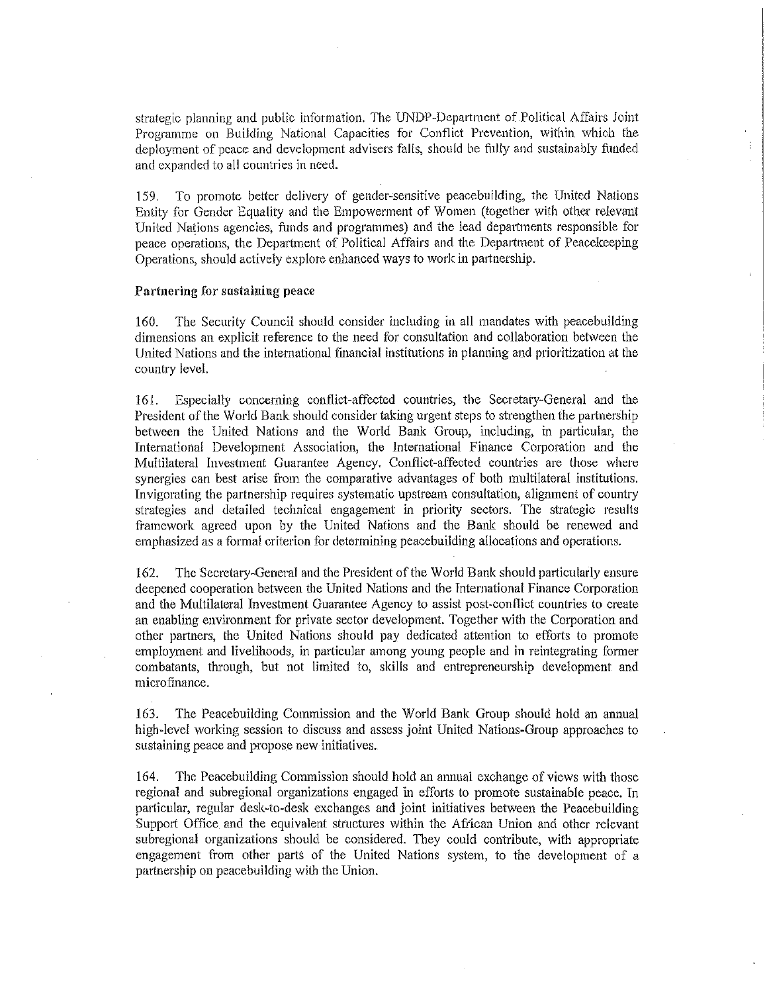strategic planning and public information. The UNDP-Department of Political Affairs Joint Programme on Building National Capacities for Conflict Prevention, within which the deployment of peace and development advisers falls, should be fillly and sustainably funded and expanded to all countries in need.

159. To promote better delivery of gender-sensitive peacebuilding, the United Nations Entity for Gender Equality and the Empowerment of Women (together with othcr relevant United Nations agencies, funds and programmes) and the lead departments responsible for peace operations, the Department of Political Affairs and the Department of Peacekeeping Operations, should actively explore enhanced ways to work in partnership.

#### Partnering for sustaining peace

160. The Security Council should consider including in all mandates with peacebuilding dimensions an explicit reference to the need for consultation and collaboration between the United Nations and the international financial institutions in planning and prioritization at the country level.

161. Especially concerning conflict-affected countries, the Secretary-General and the President of the World Bank should consider taking urgent steps to strengthen the partnership between the United Nations and the World Bank Group, including, in particular, the International Development Association, the lnternational Finance Corporation and the Multilateral lnvestment Guarantee Agency. Conflict-affected countries are those where synergies can best arise from the comparative advantages of both multilateral institutions. Invigorating the partnership requires systematic upstream consultation, alignment of country strategies and detailed technical engagement in priority sectors. The strategic results framework agreed upon by the United Nations and the Bank should be renewed and emphasized as a formal criterion for determining peacebuilding allocations and operations.

162. The Secretary-General and the President of the World Bank should particularly ensure deepened cooperation between the United Nations and the International Finance Corporation and the Multilateral Investment Guarantee Agency to assist post-conflict countries to create an enabling environment for private sector development. Together with the Corporation and other partners, the United Nations should pay dedicated attention to efforts to promote employment and livelihoods, in particular among young people and in reintegrating former combatants, through, but not limited to, skills and entrepreneurship development and micro finance.

163. The Peacebuilding Commission and the World Bank Group should hold an annual high-level working session to discuss and assess joint United Nations-Group approaches to sustaining peace and propose new initiatives.

164. The Peacebuilding Commission should hold an annual exchange of views with those regional and subregional organizations engaged in efforts to promote sustainable peace. Tn particular, regular desk-to-desk exchanges and joint initiatives between the Peacebuilding Support Office and the equivalent structures within the African Union and other relevant subregional organizations should be considered. They could contribute, with appropriate engagement from other parts of the United Nations system, to the development of a partnership on peacebuilding with the Union.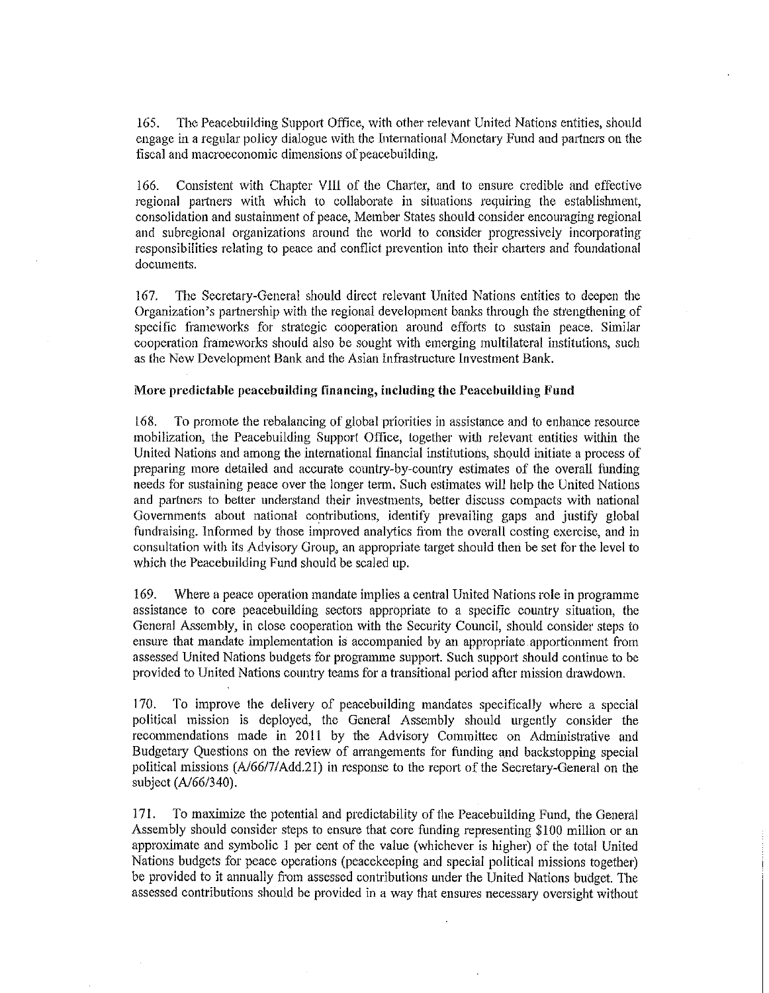165. The Peacebuilding Support Office, with other relevant United Nations entities, should engage in a regular policy dialogue with the International Monetary Fund and partners on the fiscal and macroeconomic dimensions of peacebuilding.

166. Consistent with Chapter Vlll of the Charter, and to ensure credible and effective regional partners with which to collaborate in situations requiring the establishment, consolidation and sustainment of peace, Member States should consider encouraging regional and subregional organizations around the world to consider progressively incorporating responsibilities relating to peace and conflict prevention into their ohatiers and foundational documents.

167. The Secretary-General should direot relevant United Nations entities to deepen the Organization's partnership with the regional development banks through the strengthening of specific frameworks for strategic cooperation around efforts to sustain peace. Similar oooperation frameworks should also be sought with emerging multilateral institutions, such as the New Development Bank and the Asian Infrastructure Investment Bank.

#### More predictable peacebuilding financing, including the Peacebuilding Fund

168. To promote the rebalancing of global priorities in assistance and to enhance resource mobilization, the Peacebuilding Support Office, together with relevant entities within the United Nations and among the intemational financial institutions, should initiate a process of preparing more detailed and acourate country-by-country estimates of the overall funding needs for sustaining peace over the longer term. Such estimates will help the United Nations and partncrs to belter understand their investments, belter discuss compacts with national Governments about national contributions, identify prevailing gaps and justify global fundraising. Informed by those improved analytics from the overall costing exercise, and in consultation with its Advisory Group, an appropriate target should then be set for the level to which the Peaocbuilding Fund should be scaled up.

169. Where a peace operation mandate implies a central United Nations role in programme assistance to core peacebuilding sectors appropriate to a specific country situation, the General Assembly, in close cooperation with the Security Council, should consider steps to ensure that mandate implementation is accompanied by an appropriate apportionment from assessed United Nations budgets for programme support. Such support should continue to be provided to United Nations country teams for a transitional period after mission drawdown.

170. To improve the delivery of peacebuilding mandates specifically where a special political mission is deployed, the General Assembly should urgently consider the recommendations made in 2011 by the Advisory Committee on Administrative and Budgetary Questions on the review of arrangements for funding and backstopping special political missions (A/66/7/Add.21) in response to the report of the Secretary-General on the subject (A/66/340).

171. To maximize the potential and predictability of the Peacebuilding Fund, the General Assembly should consider steps to ensure that core funding representing \$100 million or an approximate and symbolic 1 per cent of the value (whichever is higher) of the total United Nations budgets for peace operations (peacekeeping and speoial political missions together) be provided to it annually from assessed contributions under the United Nations budget. The assessed contributions should be provided in a way that ensures neoessary oversight without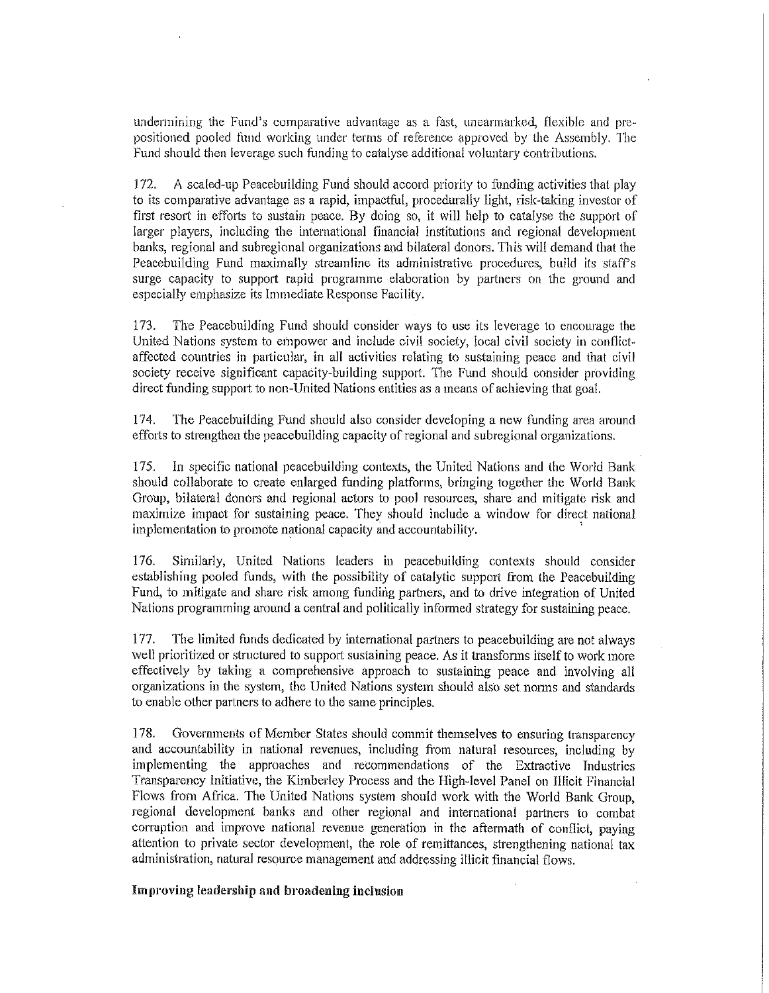undennining the Fund's comparative advantage as a fast, unearmarked, flexible and prepositioned pooled lbnd working under terms of reterence approved by the Assembly. The Fund should then leverage such funding to catalyse additional voluntary contributions.

J 72. A scaled-up Peacebuilding Fund should accord priority to funding activities that play to its comparative advantage as a rapid, impactful, procedurally light, risk-taking investor of first resort in efforts to sustain peace. By doing so, it will help to catalyse the support of larger players, including the international financial institutions and regional development banks, regional and subregional organizations and bilateral donors. This will demand that the Peacebuilding Fund maximally streamline its administrative procedures, build its staff's surge capacity to support rapid programme elaboration by partners on the ground and especially emphasize its Immediate Response Facility.

173. The Peacebuilding Fund should consider ways to use its leverage to encourage the United Nations system to empower and include civil society, local civil society in conflictaffected countries in particular, in all activities relating to sustaining peace and that civil society receive significant capacity-building support. The Fund should consider providing direct funding support to non-United Nations entities as a means of achieving that goal.

174. The Peacebuilding Fund should also consider developing a new funding area around efforts to strengthen the peacebuilding capacity of regional and subregional organizations.

175. In specific national peacebuilding contexts, the United Nations and the World Bank should collaborate to create enlarged funding platforms, bringing together the World Bank Group, bilateral donors and regional actors to pool resources, share and mitigate risk and maximize impact for sustaining peace. They should include a window for direct national implementation to promote national capacity and accountability. .

176. Similarly, United Nations leaders in peacebuilding contexts should consider establishing pooled funds, with the possibility of catalytic support from the Peacebuilding Fund, to mitigate and share risk among funding partners, and to drive integration of United Nations programming around a central and politically informed strategy for sustaining peace.

177. The limited funds dedicated by intemational partners to peacebuilding are not always well prioritized or structured to support sustaining peace. As it transfonns itself to work more effectively by taking a comprehensive approach to sustaining peace and involving all organizations in the system, the United Nations. system should also set nonns and standards to enable other partners to adhere to the same principles.

178. Goverrunents of Member States should commit themselves to ensuring transparency and accountability in national revenues, including from natural resources, including by implementing the approaches and recommendations of the Extractive Industries Transparency Initiative, the Kimberley Process and the High-level Panel on JIlieit Financial Flows from Africa. The United Nations system should work with the World Bank Group, regional development banks and other regional and international partners to combat corruption and improve national revenue generation in the aftermath of conflict, paying attention to private sector development, the role of remittances, strengthening national tax administration, natural resource management and addressing illicit financial flows.

Improving leadership and broadening inclnsion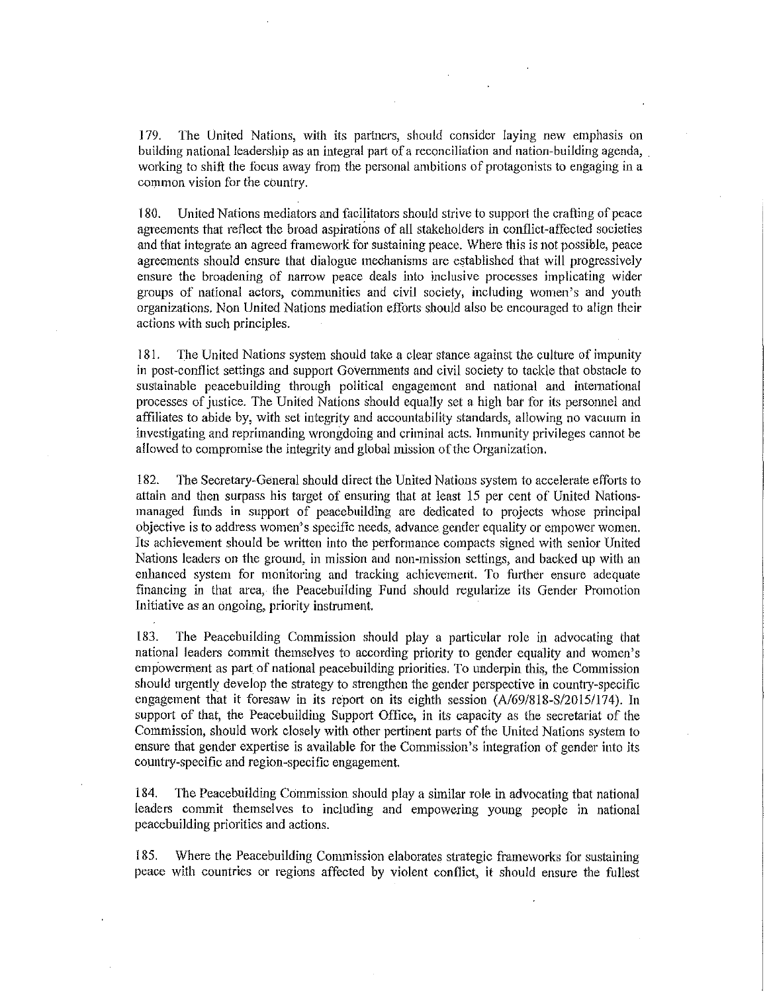J 79. The United Nations, with its partners, should consider laying new emphasis on building national leadership as an integral part of a reconciliation and nation-building agenda, working to shift the focus away from the personal ambitions of protagonists to engaging in a common vision for the country.

180. United Nations mediators and facilitators should strive to support the crafting of peace agreements that reflect the broad aspirations of all stakeholders in conflict-affected societies and that integrate an agreed framework for sustaining peace. Where this is not possible, peace agreements should ensure that dialogue mechanisms are establishcd that will progrcssively ensure the broadening of narrow peace deals into inclusive processes implicating wider groups of national actors, communities and civil society, including women's and youth organizations. Non United Nations mediation efforts should also be encouraged to align their actions with such principles.

181. The United Nations system should take a clear stance against the culture of impunity in post-conflict settings and support Govermnents and civil society to tackle that obstacle to sustainable peacebuilding through political engagemcnt and national and intemational processes of justice. The United Nations should equally set a high bar for its personnel and affiliates to abide by, with set integrity and accountability standards, allowing no vacuum in investigating and reprimanding wrongdoing and criminal acts. Tmmunity privileges cannot be allowed to compromise the integrity and global mission of the Organization.

182. The Secretary-General should direct the United Nations system to accelerate efforts to attain and then surpass his target of ensuring that at least 15 per cent of United Nationsmanaged funds in support of peacebuilding are dedicated to projects whose principal objective is to address women's specific needs, advance gender equality or empower women. Its achievement should be written into the performance compacts signed with senior United Nations leaders on the ground, in mission and non-mission settings, and backed up with an enhanced system for monitoring and tracking achievement. To further ensure adequate financing in that area, the Peacebuilding Fund should regularize its Gender Promotion Initiative *as* an ongoing, priority instrument.

183. The Peacebuilding Commission should play a particular role in advocating that national leaders commit themselves to according priority to gender equality and women's empowerment as patt of national peacebuilding priorities. To underpin this, the Commission should urgently develop the strategy to strengthen the gender perspective in country-specific engagement that it foresaw in its report on its eighth session (A/69/818-S/2015/174). In support of that, the Peacebuilding Support Office, in its capacity as the secretariat of the Commission, should work closely with other pertinent parts of the United Nations system to ensure that gender expertise is available for the Commission's integration of gender into its country-specific and region-specific engagement.

184. The Peacebuilding Commission should play a similar role in advocating that national leaders commit themselves to including and empowering young people in national peacebuilding priorities and actions.

185. Where the Peacebuilding Commission elaborates strategic frameworks for sustaining peace with countries or regions affected by violent conflict, it should ensure the fullest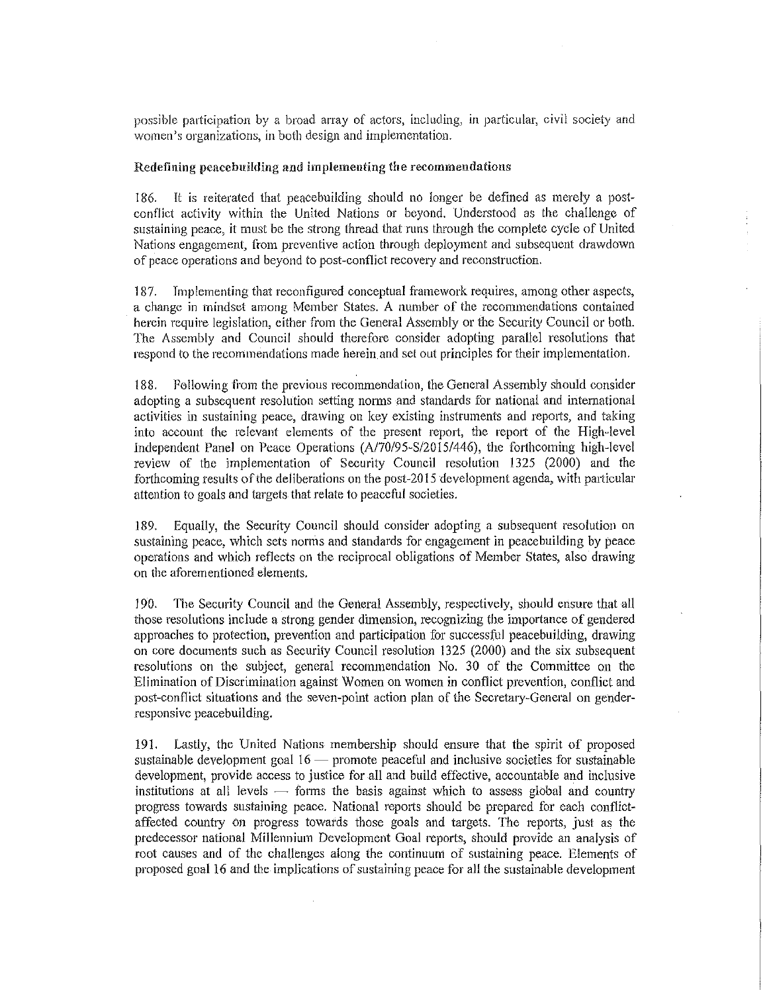possible participation by a broad array of actors, including, in particular, civil society and **women's organizations, in both design and implementation.** 

#### Redefining peacebuilding and implementing the recommendations

186. It is reiterated that peacebuilding should no longer be defined as merely a postconflict activity within the United Nations or beyond. Understood as the challenge of sustaining peace, it must be the strong thread that runs through the complete cycle of United Nations engagement, from prcventive action through deployment and subsequent drawdown of peace operations and beyond to post-conflict recovery and reconstruction.

187. Implementing that reconfigured conceptual framework requires, among other aspects, a change in mindset among Member States. A number of the recommendations contained herein require legislation, either from the General Assembly or the Security Council or both. The Assembly and Council should therefore consider adopting parallel resolutions that respond to the recommendations made herein and set out principles for their implementation.

188. Following from the previous recommendation, the General Assembly should consider adopting a subsequent resolution setting norms and standards for national and international activities in sustaining peace, drawing on key existing instruments and reports, and taking into account the relevant elements of the present report, the report of the High-level Independent Panel on Peace Operations (A/70/95~S/2015/446), the forthcoming high-level review of the implementation of Security Council resolution 1325 (2000) and the forthcoming results of the deliberations on the post-2015 development agenda, with particular attention to goals and targets that relate to peaceful societies.

189. Equally, the Security Council should consider adopting a subsequent resolution on sustaining peace, which sets norms and standards for engagement in peacebuilding by peace operations and which reflects on the reciprocal obligations of Member States, also drawing on the aforementioned elements.

190. The Security Council and the General Assembly, respectively, should ensure that all those resolutions include a strong gender dimension, recognizing the importance of gendered approaches to protection, prevention and participation for successful peacebuilding, drawing on core documents such as Security Council resolution 1325 (2000) and the six subsequent resolutions on the subject, general recommendation No. 30 of the Committee on the Elimination of Discrimination against Women on women in conflict prevention, conflict and post-conflict situations and the seven-point action plan of the Secretary-General on genderresponsive peacebuilding.

191. Lastly, the Unitcd Nations membership should ensure that the spirit of proposed sustainable development goal  $16$  - promote peaceful and inclusive societies for sustainable development, provide access to justice for all and build effective, accountable and inclusive institutions at all levels  $-$  forms the basis against which to assess global and country progress towards sustaining peace. National reports should be prepared for each conflictaffected country on progress towards those goals and targets. The reports, just as the predecessor national Millennium Development Goal reports, should provide an analysis of root causes and of the challenges along the continuum of sustaining peace. Elements of proposed goal 16 and the implications of sustaining peace for all the sustainable development